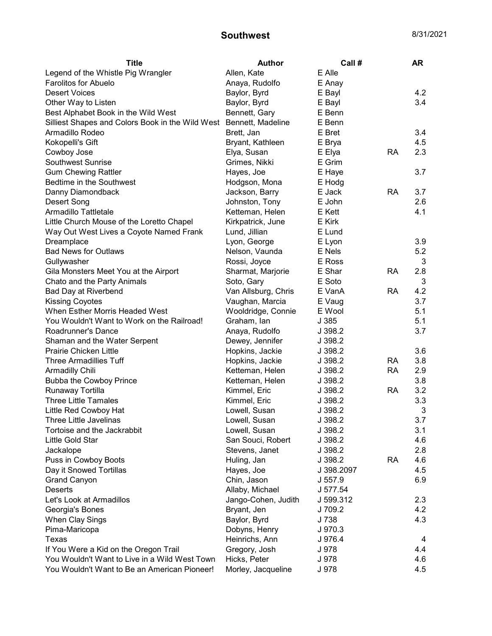## **Southwest** 8/31/2021

| <b>Title</b>                                                       | <b>Author</b>       | Call #     |           | AR  |
|--------------------------------------------------------------------|---------------------|------------|-----------|-----|
| Legend of the Whistle Pig Wrangler                                 | Allen, Kate         | E Alle     |           |     |
| <b>Farolitos for Abuelo</b>                                        | Anaya, Rudolfo      | E Anay     |           |     |
| <b>Desert Voices</b>                                               | Baylor, Byrd        | E Bayl     |           | 4.2 |
| Other Way to Listen                                                | Baylor, Byrd        | E Bayl     |           | 3.4 |
| Best Alphabet Book in the Wild West                                | Bennett, Gary       | E Benn     |           |     |
| Silliest Shapes and Colors Book in the Wild West Bennett, Madeline |                     | E Benn     |           |     |
| Armadillo Rodeo                                                    | Brett, Jan          | E Bret     |           | 3.4 |
| Kokopelli's Gift                                                   | Bryant, Kathleen    | E Brya     |           | 4.5 |
| Cowboy Jose                                                        | Elya, Susan         | E Elya     | <b>RA</b> | 2.3 |
| <b>Southwest Sunrise</b>                                           | Grimes, Nikki       | E Grim     |           |     |
| <b>Gum Chewing Rattler</b>                                         | Hayes, Joe          | E Haye     |           | 3.7 |
| Bedtime in the Southwest                                           | Hodgson, Mona       | E Hodg     |           |     |
| Danny Diamondback                                                  | Jackson, Barry      | E Jack     | <b>RA</b> | 3.7 |
| Desert Song                                                        | Johnston, Tony      | E John     |           | 2.6 |
| Armadillo Tattletale                                               | Ketteman, Helen     | E Kett     |           | 4.1 |
| Little Church Mouse of the Loretto Chapel                          | Kirkpatrick, June   | E Kirk     |           |     |
| Way Out West Lives a Coyote Named Frank                            | Lund, Jillian       | E Lund     |           |     |
| Dreamplace                                                         | Lyon, George        | E Lyon     |           | 3.9 |
| <b>Bad News for Outlaws</b>                                        | Nelson, Vaunda      | E Nels     |           | 5.2 |
| Gullywasher                                                        | Rossi, Joyce        | E Ross     |           | 3   |
| Gila Monsters Meet You at the Airport                              | Sharmat, Marjorie   | E Shar     | <b>RA</b> | 2.8 |
| Chato and the Party Animals                                        | Soto, Gary          | E Soto     |           | 3   |
| Bad Day at Riverbend                                               | Van Allsburg, Chris | E VanA     | <b>RA</b> | 4.2 |
| <b>Kissing Coyotes</b>                                             | Vaughan, Marcia     | E Vaug     |           | 3.7 |
| When Esther Morris Headed West                                     | Wooldridge, Connie  | E Wool     |           | 5.1 |
| You Wouldn't Want to Work on the Railroad!                         | Graham, Ian         | J 385      |           | 5.1 |
| Roadrunner's Dance                                                 | Anaya, Rudolfo      | J 398.2    |           | 3.7 |
| Shaman and the Water Serpent                                       | Dewey, Jennifer     | J 398.2    |           |     |
| <b>Prairie Chicken Little</b>                                      | Hopkins, Jackie     | J 398.2    |           | 3.6 |
| <b>Three Armadillies Tuff</b>                                      | Hopkins, Jackie     | J 398.2    | <b>RA</b> | 3.8 |
| Armadilly Chili                                                    | Ketteman, Helen     | J 398.2    | <b>RA</b> | 2.9 |
| Bubba the Cowboy Prince                                            | Ketteman, Helen     | J 398.2    |           | 3.8 |
| Runaway Tortilla                                                   | Kimmel, Eric        | J 398.2    | <b>RA</b> | 3.2 |
| <b>Three Little Tamales</b>                                        | Kimmel, Eric        | J 398.2    |           | 3.3 |
| Little Red Cowboy Hat                                              | Lowell, Susan       | J 398.2    |           | 3   |
| Three Little Javelinas                                             | Lowell, Susan       | J 398.2    |           | 3.7 |
| Tortoise and the Jackrabbit                                        | Lowell, Susan       | J 398.2    |           | 3.1 |
| Little Gold Star                                                   | San Souci, Robert   | J 398.2    |           | 4.6 |
| Jackalope                                                          | Stevens, Janet      | J 398.2    |           | 2.8 |
| Puss in Cowboy Boots                                               | Huling, Jan         | J 398.2    | <b>RA</b> | 4.6 |
| Day it Snowed Tortillas                                            | Hayes, Joe          | J 398.2097 |           | 4.5 |
| <b>Grand Canyon</b>                                                | Chin, Jason         | J 557.9    |           | 6.9 |
| <b>Deserts</b>                                                     | Allaby, Michael     | J 577.54   |           |     |
| Let's Look at Armadillos                                           | Jango-Cohen, Judith | J 599.312  |           | 2.3 |
| Georgia's Bones                                                    | Bryant, Jen         | J 709.2    |           | 4.2 |
| When Clay Sings                                                    | Baylor, Byrd        | J 738      |           | 4.3 |
| Pima-Maricopa                                                      | Dobyns, Henry       | J 970.3    |           |     |
| Texas                                                              | Heinrichs, Ann      | J 976.4    |           | 4   |
| If You Were a Kid on the Oregon Trail                              | Gregory, Josh       | J 978      |           | 4.4 |
| You Wouldn't Want to Live in a Wild West Town                      | Hicks, Peter        | J 978      |           | 4.6 |
| You Wouldn't Want to Be an American Pioneer!                       | Morley, Jacqueline  | J 978      |           | 4.5 |